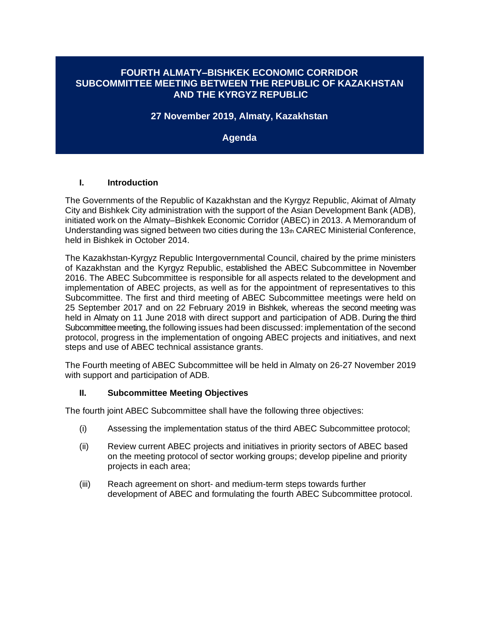### **FOURTH ALMATY–BISHKEK ECONOMIC CORRIDOR SUBCOMMITTEE MEETING BETWEEN THE REPUBLIC OF KAZAKHSTAN AND THE KYRGYZ REPUBLIC**

**27 November 2019, Almaty, Kazakhstan**

**Agenda** 

#### **I. Introduction**

The Governments of the Republic of Kazakhstan and the Kyrgyz Republic, Akimat of Almaty City and Bishkek City administration with the support of the Asian Development Bank (ADB), initiated work on the Almaty–Bishkek Economic Corridor (ABEC) in 2013. A Memorandum of Understanding was signed between two cities during the  $13<sub>th</sub>$  CAREC Ministerial Conference, held in Bishkek in October 2014.

The Kazakhstan-Kyrgyz Republic Intergovernmental Council, chaired by the prime ministers of Kazakhstan and the Kyrgyz Republic, established the ABEC Subcommittee in November 2016. The ABEC Subcommittee is responsible for all aspects related to the development and implementation of ABEC projects, as well as for the appointment of representatives to this Subcommittee. The first and third meeting of ABEC Subcommittee meetings were held on 25 September 2017 and on 22 February 2019 in Bishkek, whereas the second meeting was held in Almaty on 11 June 2018 with direct support and participation of ADB. During the third Subcommittee meeting, the following issues had been discussed: implementation of the second protocol, progress in the implementation of ongoing ABEC projects and initiatives, and next steps and use of ABEC technical assistance grants.

The Fourth meeting of ABEC Subcommittee will be held in Almaty on 26-27 November 2019 with support and participation of ADB.

#### **II. Subcommittee Meeting Objectives**

The fourth joint ABEC Subcommittee shall have the following three objectives:

- (i) Assessing the implementation status of the third ABEC Subcommittee protocol;
- (ii) Review current ABEC projects and initiatives in priority sectors of ABEC based on the meeting protocol of sector working groups; develop pipeline and priority projects in each area;
- (iii) Reach agreement on short- and medium-term steps towards further development of ABEC and formulating the fourth ABEC Subcommittee protocol.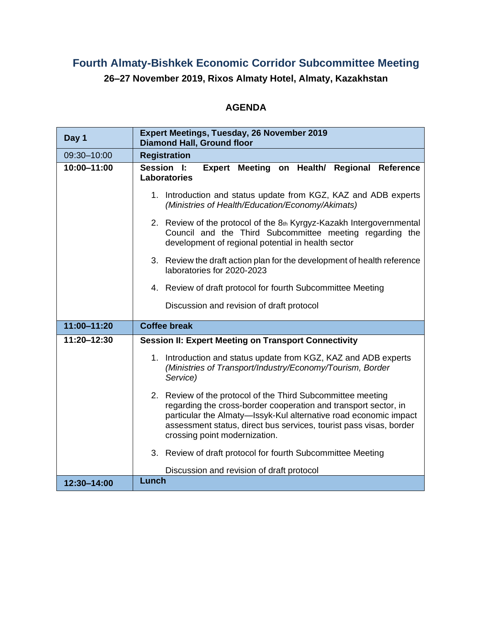# **Fourth Almaty-Bishkek Economic Corridor Subcommittee Meeting**

**26–27 November 2019, Rixos Almaty Hotel, Almaty, Kazakhstan**

## **AGENDA**

| Day 1       | <b>Expert Meetings, Tuesday, 26 November 2019</b><br><b>Diamond Hall, Ground floor</b>                                                                                                                                                                                                                    |
|-------------|-----------------------------------------------------------------------------------------------------------------------------------------------------------------------------------------------------------------------------------------------------------------------------------------------------------|
| 09:30-10:00 | <b>Registration</b>                                                                                                                                                                                                                                                                                       |
| 10:00-11:00 | Meeting on Health/ Regional Reference<br>Session I:<br><b>Expert</b><br><b>Laboratories</b>                                                                                                                                                                                                               |
|             | 1. Introduction and status update from KGZ, KAZ and ADB experts<br>(Ministries of Health/Education/Economy/Akimats)                                                                                                                                                                                       |
|             | 2. Review of the protocol of the 8th Kyrgyz-Kazakh Intergovernmental<br>Council and the Third Subcommittee meeting regarding the<br>development of regional potential in health sector                                                                                                                    |
|             | 3. Review the draft action plan for the development of health reference<br>laboratories for 2020-2023                                                                                                                                                                                                     |
|             | 4. Review of draft protocol for fourth Subcommittee Meeting                                                                                                                                                                                                                                               |
|             | Discussion and revision of draft protocol                                                                                                                                                                                                                                                                 |
| 11:00-11:20 | <b>Coffee break</b>                                                                                                                                                                                                                                                                                       |
|             |                                                                                                                                                                                                                                                                                                           |
| 11:20-12:30 | <b>Session II: Expert Meeting on Transport Connectivity</b>                                                                                                                                                                                                                                               |
|             | 1. Introduction and status update from KGZ, KAZ and ADB experts<br>(Ministries of Transport/Industry/Economy/Tourism, Border<br>Service)                                                                                                                                                                  |
|             | 2. Review of the protocol of the Third Subcommittee meeting<br>regarding the cross-border cooperation and transport sector, in<br>particular the Almaty-lssyk-Kul alternative road economic impact<br>assessment status, direct bus services, tourist pass visas, border<br>crossing point modernization. |
|             | 3. Review of draft protocol for fourth Subcommittee Meeting                                                                                                                                                                                                                                               |
|             | Discussion and revision of draft protocol<br>Lunch                                                                                                                                                                                                                                                        |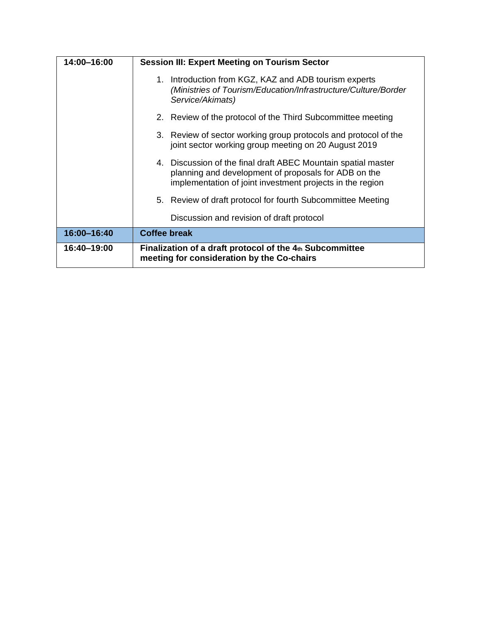| 14:00-16:00 | <b>Session III: Expert Meeting on Tourism Sector</b>                                                                                                                               |
|-------------|------------------------------------------------------------------------------------------------------------------------------------------------------------------------------------|
|             | 1. Introduction from KGZ, KAZ and ADB tourism experts<br>(Ministries of Tourism/Education/Infrastructure/Culture/Border<br>Service/Akimats)                                        |
|             | 2. Review of the protocol of the Third Subcommittee meeting                                                                                                                        |
|             | 3. Review of sector working group protocols and protocol of the<br>joint sector working group meeting on 20 August 2019                                                            |
|             | 4. Discussion of the final draft ABEC Mountain spatial master<br>planning and development of proposals for ADB on the<br>implementation of joint investment projects in the region |
|             | 5. Review of draft protocol for fourth Subcommittee Meeting                                                                                                                        |
|             | Discussion and revision of draft protocol                                                                                                                                          |
| 16:00-16:40 | <b>Coffee break</b>                                                                                                                                                                |
| 16:40-19:00 | Finalization of a draft protocol of the 4th Subcommittee<br>meeting for consideration by the Co-chairs                                                                             |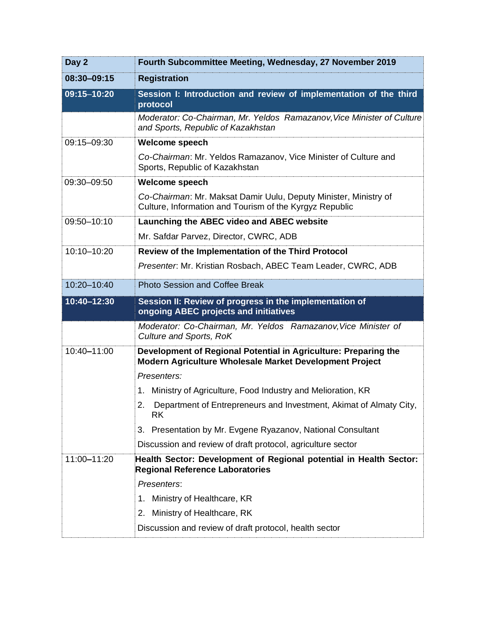| Day 2       | Fourth Subcommittee Meeting, Wednesday, 27 November 2019                                                                    |
|-------------|-----------------------------------------------------------------------------------------------------------------------------|
| 08:30-09:15 | <b>Registration</b>                                                                                                         |
| 09:15-10:20 | Session I: Introduction and review of implementation of the third<br>protocol                                               |
|             | Moderator: Co-Chairman, Mr. Yeldos Ramazanov, Vice Minister of Culture<br>and Sports, Republic of Kazakhstan                |
| 09:15-09:30 | <b>Welcome speech</b>                                                                                                       |
|             | Co-Chairman: Mr. Yeldos Ramazanov, Vice Minister of Culture and<br>Sports, Republic of Kazakhstan                           |
| 09:30-09:50 | <b>Welcome speech</b>                                                                                                       |
|             | Co-Chairman: Mr. Maksat Damir Uulu, Deputy Minister, Ministry of<br>Culture, Information and Tourism of the Kyrgyz Republic |
| 09:50-10:10 | <b>Launching the ABEC video and ABEC website</b>                                                                            |
|             | Mr. Safdar Parvez, Director, CWRC, ADB                                                                                      |
| 10:10-10:20 | Review of the Implementation of the Third Protocol                                                                          |
|             | Presenter. Mr. Kristian Rosbach, ABEC Team Leader, CWRC, ADB                                                                |
| 10:20-10:40 | <b>Photo Session and Coffee Break</b>                                                                                       |
| 10:40-12:30 | Session II: Review of progress in the implementation of<br>ongoing ABEC projects and initiatives                            |
|             | Moderator: Co-Chairman, Mr. Yeldos Ramazanov, Vice Minister of<br>Culture and Sports, RoK                                   |
| 10:40-11:00 | Development of Regional Potential in Agriculture: Preparing the<br>Modern Agriculture Wholesale Market Development Project  |
|             | Presenters:                                                                                                                 |
|             | Ministry of Agriculture, Food Industry and Melioration, KR<br>1.                                                            |
|             | 2.<br>Department of Entrepreneurs and Investment, Akimat of Almaty City,<br><b>RK</b>                                       |
|             | Presentation by Mr. Evgene Ryazanov, National Consultant<br>3.                                                              |
|             | Discussion and review of draft protocol, agriculture sector                                                                 |
| 11:00-11:20 | Health Sector: Development of Regional potential in Health Sector:<br><b>Regional Reference Laboratories</b>                |
|             | Presenters:                                                                                                                 |
|             | Ministry of Healthcare, KR<br>1.                                                                                            |
|             | Ministry of Healthcare, RK<br>2.                                                                                            |
|             | Discussion and review of draft protocol, health sector                                                                      |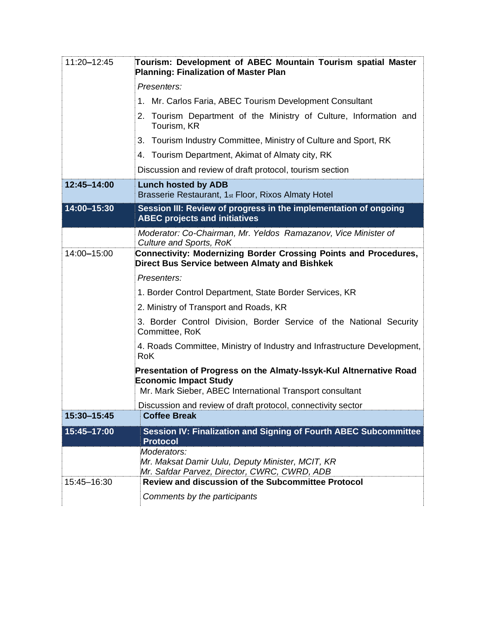| 11:20-12:45 | Tourism: Development of ABEC Mountain Tourism spatial Master<br><b>Planning: Finalization of Master Plan</b>                                                   |
|-------------|----------------------------------------------------------------------------------------------------------------------------------------------------------------|
|             | Presenters:                                                                                                                                                    |
|             | 1. Mr. Carlos Faria, ABEC Tourism Development Consultant                                                                                                       |
|             | 2. Tourism Department of the Ministry of Culture, Information and<br>Tourism, KR                                                                               |
|             | Tourism Industry Committee, Ministry of Culture and Sport, RK<br>3.                                                                                            |
|             | 4. Tourism Department, Akimat of Almaty city, RK                                                                                                               |
|             | Discussion and review of draft protocol, tourism section                                                                                                       |
| 12:45-14:00 | <b>Lunch hosted by ADB</b><br>Brasserie Restaurant, 1 <sub>st</sub> Floor, Rixos Almaty Hotel                                                                  |
| 14:00-15:30 | Session III: Review of progress in the implementation of ongoing<br><b>ABEC projects and initiatives</b>                                                       |
|             | Moderator: Co-Chairman, Mr. Yeldos Ramazanov, Vice Minister of<br>Culture and Sports, RoK                                                                      |
| 14:00-15:00 | Connectivity: Modernizing Border Crossing Points and Procedures,<br><b>Direct Bus Service between Almaty and Bishkek</b>                                       |
|             | Presenters:                                                                                                                                                    |
|             | 1. Border Control Department, State Border Services, KR                                                                                                        |
|             | 2. Ministry of Transport and Roads, KR                                                                                                                         |
|             | 3. Border Control Division, Border Service of the National Security<br>Committee, RoK                                                                          |
|             | 4. Roads Committee, Ministry of Industry and Infrastructure Development,<br><b>RoK</b>                                                                         |
|             | Presentation of Progress on the Almaty-Issyk-Kul Altnernative Road<br><b>Economic Impact Study</b><br>Mr. Mark Sieber, ABEC International Transport consultant |
|             | Discussion and review of draft protocol, connectivity sector                                                                                                   |
| 15:30-15:45 | <b>Coffee Break</b>                                                                                                                                            |
| 15:45-17:00 | Session IV: Finalization and Signing of Fourth ABEC Subcommittee<br><b>Protocol</b>                                                                            |
|             | Moderators:<br>Mr. Maksat Damir Uulu, Deputy Minister, MCIT, KR<br>Mr. Safdar Parvez, Director, CWRC, CWRD, ADB                                                |
| 15:45-16:30 | <b>Review and discussion of the Subcommittee Protocol</b>                                                                                                      |
|             | Comments by the participants                                                                                                                                   |